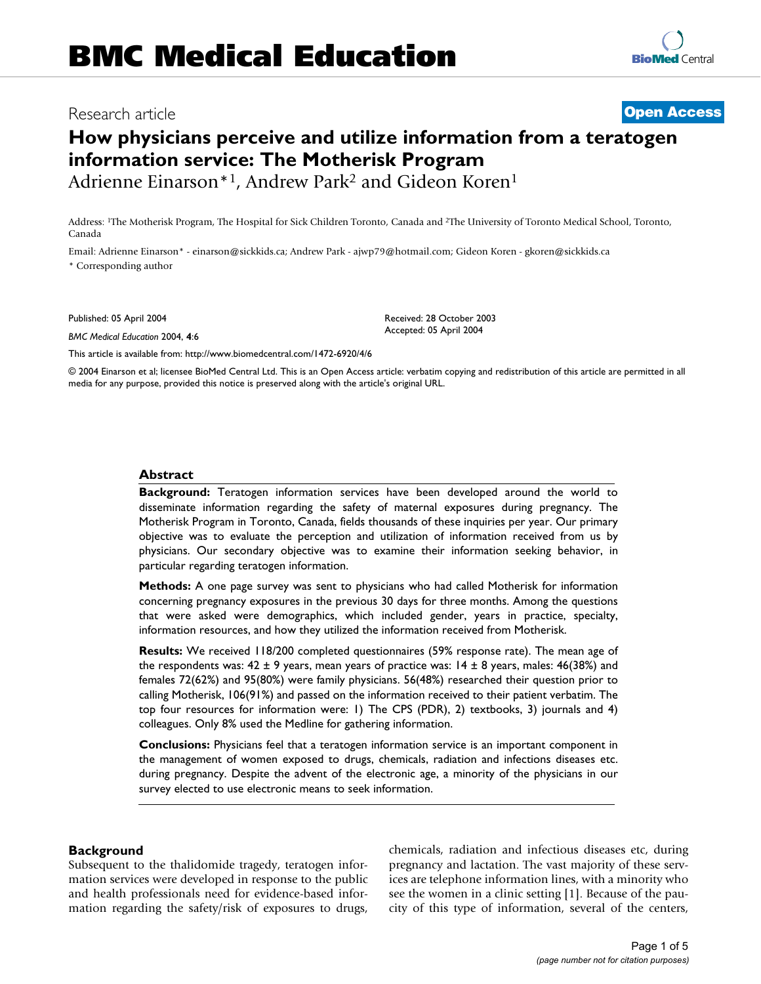# Research article **[Open Access](http://www.biomedcentral.com/info/about/charter/)**

# **How physicians perceive and utilize information from a teratogen information service: The Motherisk Program** Adrienne Einarson\*1, Andrew Park2 and Gideon Koren1

Address: 1The Motherisk Program, The Hospital for Sick Children Toronto, Canada and 2The University of Toronto Medical School, Toronto, Canada

Email: Adrienne Einarson\* - einarson@sickkids.ca; Andrew Park - ajwp79@hotmail.com; Gideon Koren - gkoren@sickkids.ca \* Corresponding author

Published: 05 April 2004

*BMC Medical Education* 2004, **4**:6

Received: 28 October 2003 Accepted: 05 April 2004

[This article is available from: http://www.biomedcentral.com/1472-6920/4/6](http://www.biomedcentral.com/1472-6920/4/6)

© 2004 Einarson et al; licensee BioMed Central Ltd. This is an Open Access article: verbatim copying and redistribution of this article are permitted in all media for any purpose, provided this notice is preserved along with the article's original URL.

### **Abstract**

**Background:** Teratogen information services have been developed around the world to disseminate information regarding the safety of maternal exposures during pregnancy. The Motherisk Program in Toronto, Canada, fields thousands of these inquiries per year. Our primary objective was to evaluate the perception and utilization of information received from us by physicians. Our secondary objective was to examine their information seeking behavior, in particular regarding teratogen information.

**Methods:** A one page survey was sent to physicians who had called Motherisk for information concerning pregnancy exposures in the previous 30 days for three months. Among the questions that were asked were demographics, which included gender, years in practice, specialty, information resources, and how they utilized the information received from Motherisk.

**Results:** We received 118/200 completed questionnaires (59% response rate). The mean age of the respondents was:  $42 \pm 9$  years, mean years of practice was:  $14 \pm 8$  years, males:  $46(38%)$  and females 72(62%) and 95(80%) were family physicians. 56(48%) researched their question prior to calling Motherisk, 106(91%) and passed on the information received to their patient verbatim. The top four resources for information were: 1) The CPS (PDR), 2) textbooks, 3) journals and 4) colleagues. Only 8% used the Medline for gathering information.

**Conclusions:** Physicians feel that a teratogen information service is an important component in the management of women exposed to drugs, chemicals, radiation and infections diseases etc. during pregnancy. Despite the advent of the electronic age, a minority of the physicians in our survey elected to use electronic means to seek information.

### **Background**

Subsequent to the thalidomide tragedy, teratogen information services were developed in response to the public and health professionals need for evidence-based information regarding the safety/risk of exposures to drugs, chemicals, radiation and infectious diseases etc, during pregnancy and lactation. The vast majority of these services are telephone information lines, with a minority who see the women in a clinic setting [1]. Because of the paucity of this type of information, several of the centers,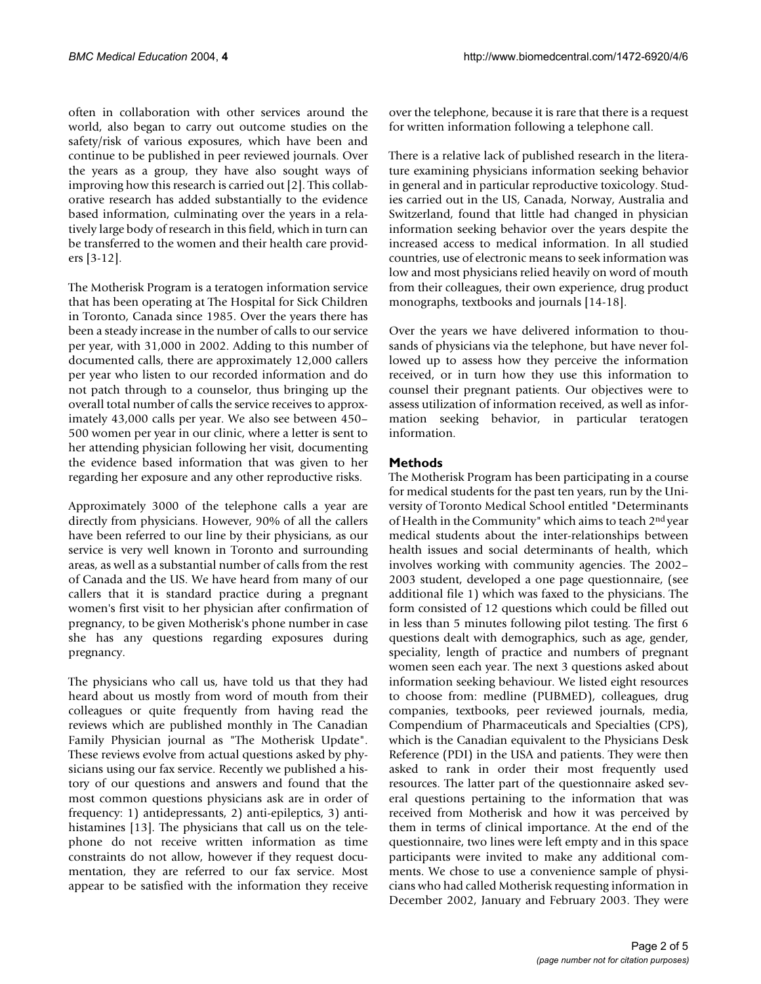often in collaboration with other services around the world, also began to carry out outcome studies on the safety/risk of various exposures, which have been and continue to be published in peer reviewed journals. Over the years as a group, they have also sought ways of improving how this research is carried out [2]. This collaborative research has added substantially to the evidence based information, culminating over the years in a relatively large body of research in this field, which in turn can be transferred to the women and their health care providers [3-12].

The Motherisk Program is a teratogen information service that has been operating at The Hospital for Sick Children in Toronto, Canada since 1985. Over the years there has been a steady increase in the number of calls to our service per year, with 31,000 in 2002. Adding to this number of documented calls, there are approximately 12,000 callers per year who listen to our recorded information and do not patch through to a counselor, thus bringing up the overall total number of calls the service receives to approximately 43,000 calls per year. We also see between 450– 500 women per year in our clinic, where a letter is sent to her attending physician following her visit, documenting the evidence based information that was given to her regarding her exposure and any other reproductive risks.

Approximately 3000 of the telephone calls a year are directly from physicians. However, 90% of all the callers have been referred to our line by their physicians, as our service is very well known in Toronto and surrounding areas, as well as a substantial number of calls from the rest of Canada and the US. We have heard from many of our callers that it is standard practice during a pregnant women's first visit to her physician after confirmation of pregnancy, to be given Motherisk's phone number in case she has any questions regarding exposures during pregnancy.

The physicians who call us, have told us that they had heard about us mostly from word of mouth from their colleagues or quite frequently from having read the reviews which are published monthly in The Canadian Family Physician journal as "The Motherisk Update". These reviews evolve from actual questions asked by physicians using our fax service. Recently we published a history of our questions and answers and found that the most common questions physicians ask are in order of frequency: 1) antidepressants, 2) anti-epileptics, 3) antihistamines [13]. The physicians that call us on the telephone do not receive written information as time constraints do not allow, however if they request documentation, they are referred to our fax service. Most appear to be satisfied with the information they receive over the telephone, because it is rare that there is a request for written information following a telephone call.

There is a relative lack of published research in the literature examining physicians information seeking behavior in general and in particular reproductive toxicology. Studies carried out in the US, Canada, Norway, Australia and Switzerland, found that little had changed in physician information seeking behavior over the years despite the increased access to medical information. In all studied countries, use of electronic means to seek information was low and most physicians relied heavily on word of mouth from their colleagues, their own experience, drug product monographs, textbooks and journals [14-18].

Over the years we have delivered information to thousands of physicians via the telephone, but have never followed up to assess how they perceive the information received, or in turn how they use this information to counsel their pregnant patients. Our objectives were to assess utilization of information received, as well as information seeking behavior, in particular teratogen information.

# **Methods**

The Motherisk Program has been participating in a course for medical students for the past ten years, run by the University of Toronto Medical School entitled "Determinants of Health in the Community" which aims to teach 2nd year medical students about the inter-relationships between health issues and social determinants of health, which involves working with community agencies. The 2002– 2003 student, developed a one page questionnaire, (see additional file 1) which was faxed to the physicians. The form consisted of 12 questions which could be filled out in less than 5 minutes following pilot testing. The first 6 questions dealt with demographics, such as age, gender, speciality, length of practice and numbers of pregnant women seen each year. The next 3 questions asked about information seeking behaviour. We listed eight resources to choose from: medline (PUBMED), colleagues, drug companies, textbooks, peer reviewed journals, media, Compendium of Pharmaceuticals and Specialties (CPS), which is the Canadian equivalent to the Physicians Desk Reference (PDI) in the USA and patients. They were then asked to rank in order their most frequently used resources. The latter part of the questionnaire asked several questions pertaining to the information that was received from Motherisk and how it was perceived by them in terms of clinical importance. At the end of the questionnaire, two lines were left empty and in this space participants were invited to make any additional comments. We chose to use a convenience sample of physicians who had called Motherisk requesting information in December 2002, January and February 2003. They were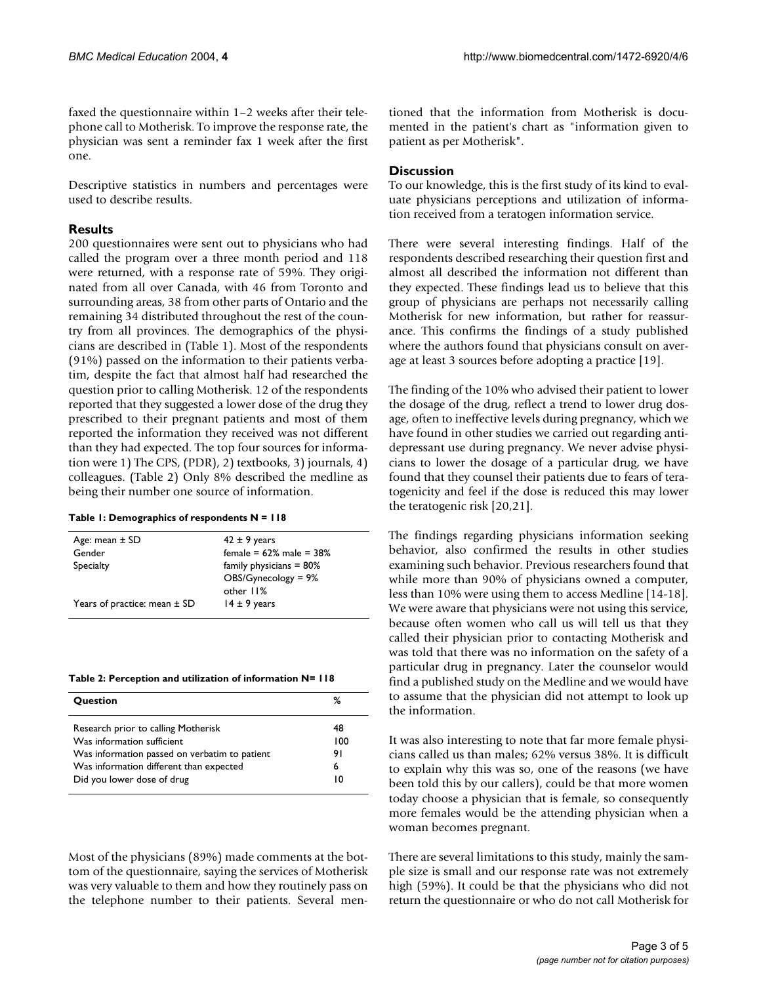faxed the questionnaire within 1–2 weeks after their telephone call to Motherisk. To improve the response rate, the physician was sent a reminder fax 1 week after the first one.

Descriptive statistics in numbers and percentages were used to describe results.

# **Results**

200 questionnaires were sent out to physicians who had called the program over a three month period and 118 were returned, with a response rate of 59%. They originated from all over Canada, with 46 from Toronto and surrounding areas, 38 from other parts of Ontario and the remaining 34 distributed throughout the rest of the country from all provinces. The demographics of the physicians are described in (Table [1\)](#page-2-0). Most of the respondents (91%) passed on the information to their patients verbatim, despite the fact that almost half had researched the question prior to calling Motherisk. 12 of the respondents reported that they suggested a lower dose of the drug they prescribed to their pregnant patients and most of them reported the information they received was not different than they had expected. The top four sources for information were 1) The CPS, (PDR), 2) textbooks, 3) journals, 4) colleagues. (Table [2\)](#page-2-1) Only 8% described the medline as being their number one source of information.

### <span id="page-2-0"></span>**Table 1: Demographics of respondents N = 118**

| Age: mean $\pm$ SD               | $42 \pm 9$ years              |
|----------------------------------|-------------------------------|
| Gender                           | female = $62\%$ male = $38\%$ |
| Specialty                        | family physicians $= 80\%$    |
|                                  | $OBS/Gy$ necology = 9%        |
|                                  | other 11%                     |
| Years of practice: mean $\pm$ SD | $14 \pm 9$ years              |
|                                  |                               |

<span id="page-2-1"></span>**Table 2: Perception and utilization of information N= 118**

| <b>Ouestion</b>                               | %   |
|-----------------------------------------------|-----|
| Research prior to calling Motherisk           | 48  |
| Was information sufficient                    | 100 |
| Was information passed on verbatim to patient | 91  |
| Was information different than expected       | 6   |
| Did you lower dose of drug                    | 10  |

Most of the physicians (89%) made comments at the bottom of the questionnaire, saying the services of Motherisk was very valuable to them and how they routinely pass on the telephone number to their patients. Several mentioned that the information from Motherisk is documented in the patient's chart as "information given to patient as per Motherisk".

# **Discussion**

To our knowledge, this is the first study of its kind to evaluate physicians perceptions and utilization of information received from a teratogen information service.

There were several interesting findings. Half of the respondents described researching their question first and almost all described the information not different than they expected. These findings lead us to believe that this group of physicians are perhaps not necessarily calling Motherisk for new information, but rather for reassurance. This confirms the findings of a study published where the authors found that physicians consult on average at least 3 sources before adopting a practice [19].

The finding of the 10% who advised their patient to lower the dosage of the drug, reflect a trend to lower drug dosage, often to ineffective levels during pregnancy, which we have found in other studies we carried out regarding antidepressant use during pregnancy. We never advise physicians to lower the dosage of a particular drug, we have found that they counsel their patients due to fears of teratogenicity and feel if the dose is reduced this may lower the teratogenic risk [20,21].

The findings regarding physicians information seeking behavior, also confirmed the results in other studies examining such behavior. Previous researchers found that while more than 90% of physicians owned a computer, less than 10% were using them to access Medline [14-18]. We were aware that physicians were not using this service, because often women who call us will tell us that they called their physician prior to contacting Motherisk and was told that there was no information on the safety of a particular drug in pregnancy. Later the counselor would find a published study on the Medline and we would have to assume that the physician did not attempt to look up the information.

It was also interesting to note that far more female physicians called us than males; 62% versus 38%. It is difficult to explain why this was so, one of the reasons (we have been told this by our callers), could be that more women today choose a physician that is female, so consequently more females would be the attending physician when a woman becomes pregnant.

There are several limitations to this study, mainly the sample size is small and our response rate was not extremely high (59%). It could be that the physicians who did not return the questionnaire or who do not call Motherisk for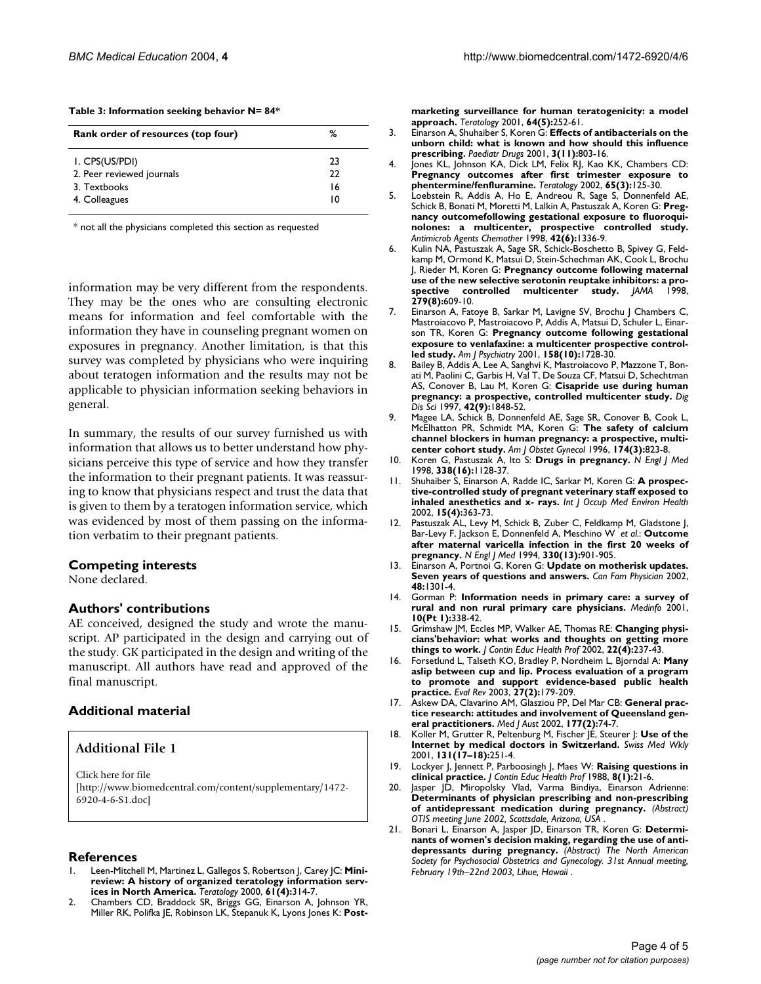#### **Table 3: Information seeking behavior N= 84\***

| Rank order of resources (top four) | ℅  |
|------------------------------------|----|
| I. CPS(US/PDI)                     | 23 |
| 2. Peer reviewed journals          | つつ |
| 3. Textbooks                       | 16 |
| 4. Colleagues                      | 10 |

\* not all the physicians completed this section as requested

information may be very different from the respondents. They may be the ones who are consulting electronic means for information and feel comfortable with the information they have in counseling pregnant women on exposures in pregnancy. Another limitation, is that this survey was completed by physicians who were inquiring about teratogen information and the results may not be applicable to physician information seeking behaviors in general.

In summary, the results of our survey furnished us with information that allows us to better understand how physicians perceive this type of service and how they transfer the information to their pregnant patients. It was reassuring to know that physicians respect and trust the data that is given to them by a teratogen information service, which was evidenced by most of them passing on the information verbatim to their pregnant patients.

### **Competing interests**

None declared.

### **Authors' contributions**

AE conceived, designed the study and wrote the manuscript. AP participated in the design and carrying out of the study. GK participated in the design and writing of the manuscript. All authors have read and approved of the final manuscript.

# **Additional material**

# **Additional File 1**

Click here for file [\[http://www.biomedcentral.com/content/supplementary/1472-](http://www.biomedcentral.com/content/supplementary/1472-6920-4-6-S1.doc) 6920-4-6-S1.doc]

### **References**

- Leen-Mitchell M, Martinez L, Gallegos S, Robertson J, Carey JC: [Mini](http://www.ncbi.nlm.nih.gov/entrez/query.fcgi?cmd=Retrieve&db=PubMed&dopt=Abstract&list_uids=10.1002/(SICI)1096-9926(200004)61:4<314::AID-TERA11>3.0.CO;2-7)**[review: A history of organized teratology information serv](http://www.ncbi.nlm.nih.gov/entrez/query.fcgi?cmd=Retrieve&db=PubMed&dopt=Abstract&list_uids=10.1002/(SICI)1096-9926(200004)61:4<314::AID-TERA11>3.0.CO;2-7)[ices in North America](http://www.ncbi.nlm.nih.gov/entrez/query.fcgi?cmd=Retrieve&db=PubMed&dopt=Abstract&list_uids=10.1002/(SICI)1096-9926(200004)61:4<314::AID-TERA11>3.0.CO;2-7)[.](http://www.ncbi.nlm.nih.gov/entrez/query.fcgi?cmd=Retrieve&db=PubMed&dopt=Abstract&list_uids=10716751)** *Teratology* 2000, **61(4):**314-7.
- 2. Chambers CD, Braddock SR, Briggs GG, Einarson A, Johnson YR, Miller RK, Polifka JE, Robinson LK, Stepanuk K, Lyons Jones K: **[Post-](http://www.ncbi.nlm.nih.gov/entrez/query.fcgi?cmd=Retrieve&db=PubMed&dopt=Abstract&list_uids=10.1002/tera.1071)**

**[marketing surveillance for human teratogenicity: a model](http://www.ncbi.nlm.nih.gov/entrez/query.fcgi?cmd=Retrieve&db=PubMed&dopt=Abstract&list_uids=10.1002/tera.1071) [approach](http://www.ncbi.nlm.nih.gov/entrez/query.fcgi?cmd=Retrieve&db=PubMed&dopt=Abstract&list_uids=10.1002/tera.1071)[.](http://www.ncbi.nlm.nih.gov/entrez/query.fcgi?cmd=Retrieve&db=PubMed&dopt=Abstract&list_uids=11745831)** *Teratology* 2001, **64(5):**252-61.

- 3. Einarson A, Shuhaiber S, Koren G: **[Effects of antibacterials on the](http://www.ncbi.nlm.nih.gov/entrez/query.fcgi?cmd=Retrieve&db=PubMed&dopt=Abstract&list_uids=11735666) [unborn child: what is known and how should this influence](http://www.ncbi.nlm.nih.gov/entrez/query.fcgi?cmd=Retrieve&db=PubMed&dopt=Abstract&list_uids=11735666) [prescribing.](http://www.ncbi.nlm.nih.gov/entrez/query.fcgi?cmd=Retrieve&db=PubMed&dopt=Abstract&list_uids=11735666)** *Paediatr Drugs* 2001, **3(11):**803-16.
- 4. Jones KL, Johnson KA, Dick LM, Felix RJ, Kao KK, Chambers CD: **[Pregnancy outcomes after first trimester exposure to](http://www.ncbi.nlm.nih.gov/entrez/query.fcgi?cmd=Retrieve&db=PubMed&dopt=Abstract&list_uids=11877776) [phentermine/fenfluramine.](http://www.ncbi.nlm.nih.gov/entrez/query.fcgi?cmd=Retrieve&db=PubMed&dopt=Abstract&list_uids=11877776)** *Teratology* 2002, **65(3):**125-30.
- Loebstein R, Addis A, Ho E, Andreou R, Sage S, Donnenfeld AE, Schick B, Bonati M, Moretti M, Lalkin A, Pastuszak A, Koren G: **[Preg](http://www.ncbi.nlm.nih.gov/entrez/query.fcgi?cmd=Retrieve&db=PubMed&dopt=Abstract&list_uids=9624471)[nancy outcomefollowing gestational exposure to fluoroqui](http://www.ncbi.nlm.nih.gov/entrez/query.fcgi?cmd=Retrieve&db=PubMed&dopt=Abstract&list_uids=9624471)nolones: a multicenter, prospective controlled study.** *Antimicrob Agents Chemother* 1998, **42(6):**1336-9.
- 6. Kulin NA, Pastuszak A, Sage SR, Schick-Boschetto B, Spivey G, Feldkamp M, Ormond K, Matsui D, Stein-Schechman AK, Cook L, Brochu J, Rieder M, Koren G: **[Pregnancy outcome following maternal](http://www.ncbi.nlm.nih.gov/entrez/query.fcgi?cmd=Retrieve&db=PubMed&dopt=Abstract&list_uids=10.1001/jama.279.8.609) [use of the new selective serotonin reuptake inhibitors: a pro](http://www.ncbi.nlm.nih.gov/entrez/query.fcgi?cmd=Retrieve&db=PubMed&dopt=Abstract&list_uids=10.1001/jama.279.8.609)[spective controlled multicenter study](http://www.ncbi.nlm.nih.gov/entrez/query.fcgi?cmd=Retrieve&db=PubMed&dopt=Abstract&list_uids=10.1001/jama.279.8.609)[.](http://www.ncbi.nlm.nih.gov/entrez/query.fcgi?cmd=Retrieve&db=PubMed&dopt=Abstract&list_uids=9486756)** *JAMA* 1998, **279(8):**609-10.
- 7. Einarson A, Fatoye B, Sarkar M, Lavigne SV, Brochu J Chambers C, Mastroiacovo P, Mastroiacovo P, Addis A, Matsui D, Schuler L, Einarson TR, Koren G: **[Pregnancy outcome following gestational](http://www.ncbi.nlm.nih.gov/entrez/query.fcgi?cmd=Retrieve&db=PubMed&dopt=Abstract&list_uids=10.1176/appi.ajp.158.10.1728) [exposure to venlafaxine: a multicenter prospective control](http://www.ncbi.nlm.nih.gov/entrez/query.fcgi?cmd=Retrieve&db=PubMed&dopt=Abstract&list_uids=10.1176/appi.ajp.158.10.1728)[led study](http://www.ncbi.nlm.nih.gov/entrez/query.fcgi?cmd=Retrieve&db=PubMed&dopt=Abstract&list_uids=10.1176/appi.ajp.158.10.1728)[.](http://www.ncbi.nlm.nih.gov/entrez/query.fcgi?cmd=Retrieve&db=PubMed&dopt=Abstract&list_uids=11579012)** *Am J Psychiatry* 2001, **158(10):**1728-30.
- 8. Bailey B, Addis A, Lee A, Sanghvi K, Mastroiacovo P, Mazzone T, Bonati M, Paolini C, Garbis H, Val T, De Souza CF, Matsui D, Schechtman AS, Conover B, Lau M, Koren G: **[Cisapride use during human](http://www.ncbi.nlm.nih.gov/entrez/query.fcgi?cmd=Retrieve&db=PubMed&dopt=Abstract&list_uids=10.1023/A:1018898707449) [pregnancy: a prospective, controlled multicenter study](http://www.ncbi.nlm.nih.gov/entrez/query.fcgi?cmd=Retrieve&db=PubMed&dopt=Abstract&list_uids=10.1023/A:1018898707449)[.](http://www.ncbi.nlm.nih.gov/entrez/query.fcgi?cmd=Retrieve&db=PubMed&dopt=Abstract&list_uids=9331146)** *Dig Dis Sci* 1997, **42(9):**1848-52.
- 9. Magee LA, Schick B, Donnenfeld AE, Sage SR, Conover B, Cook L, McElhatton PR, Schmidt MA, Koren G: **[The safety of calcium](http://www.ncbi.nlm.nih.gov/entrez/query.fcgi?cmd=Retrieve&db=PubMed&dopt=Abstract&list_uids=8633650) [channel blockers in human pregnancy: a prospective, multi](http://www.ncbi.nlm.nih.gov/entrez/query.fcgi?cmd=Retrieve&db=PubMed&dopt=Abstract&list_uids=8633650)[center cohort study.](http://www.ncbi.nlm.nih.gov/entrez/query.fcgi?cmd=Retrieve&db=PubMed&dopt=Abstract&list_uids=8633650)** *Am J Obstet Gynecol* 1996, **174(3):**823-8.
- 10. Koren G, Pastuszak A, Ito S: **[Drugs in pregnancy](http://www.ncbi.nlm.nih.gov/entrez/query.fcgi?cmd=Retrieve&db=PubMed&dopt=Abstract&list_uids=10.1056/NEJM199804163381607)[.](http://www.ncbi.nlm.nih.gov/entrez/query.fcgi?cmd=Retrieve&db=PubMed&dopt=Abstract&list_uids=9545362)** *N Engl J Med* 1998, **338(16):**1128-37.
- 11. Shuhaiber S, Einarson A, Radde IC, Sarkar M, Koren G: **[A prospec](http://www.ncbi.nlm.nih.gov/entrez/query.fcgi?cmd=Retrieve&db=PubMed&dopt=Abstract&list_uids=12608624)[tive-controlled study of pregnant veterinary staff exposed to](http://www.ncbi.nlm.nih.gov/entrez/query.fcgi?cmd=Retrieve&db=PubMed&dopt=Abstract&list_uids=12608624) [inhaled anesthetics and x- rays.](http://www.ncbi.nlm.nih.gov/entrez/query.fcgi?cmd=Retrieve&db=PubMed&dopt=Abstract&list_uids=12608624)** *Int J Occup Med Environ Health* 2002, **15(4):**363-73.
- 12. Pastuszak AL, Levy M, Schick B, Zuber C, Feldkamp M, Gladstone J, Bar-Levy F, Jackson E, Donnenfeld A, Meschino W *et al.*: **[Outcome](http://www.ncbi.nlm.nih.gov/entrez/query.fcgi?cmd=Retrieve&db=PubMed&dopt=Abstract&list_uids=10.1056/NEJM199403313301305) [after maternal varicella infection in the first 20 weeks of](http://www.ncbi.nlm.nih.gov/entrez/query.fcgi?cmd=Retrieve&db=PubMed&dopt=Abstract&list_uids=10.1056/NEJM199403313301305) [pregnancy](http://www.ncbi.nlm.nih.gov/entrez/query.fcgi?cmd=Retrieve&db=PubMed&dopt=Abstract&list_uids=10.1056/NEJM199403313301305)[.](http://www.ncbi.nlm.nih.gov/entrez/query.fcgi?cmd=Retrieve&db=PubMed&dopt=Abstract&list_uids=8114861)** *N Engl J Med* 1994, **330(13):**901-905.
- 13. Einarson A, Portnoi G, Koren G: **[Update on motherisk updates.](http://www.ncbi.nlm.nih.gov/entrez/query.fcgi?cmd=Retrieve&db=PubMed&dopt=Abstract&list_uids=12228958) [Seven years of questions and answers.](http://www.ncbi.nlm.nih.gov/entrez/query.fcgi?cmd=Retrieve&db=PubMed&dopt=Abstract&list_uids=12228958)** *Can Fam Physician* 2002, **48:**1301-4.
- 14. Gorman P: **[Information needs in primary care: a survey of](http://www.ncbi.nlm.nih.gov/entrez/query.fcgi?cmd=Retrieve&db=PubMed&dopt=Abstract&list_uids=11604759) [rural and non rural primary care physicians.](http://www.ncbi.nlm.nih.gov/entrez/query.fcgi?cmd=Retrieve&db=PubMed&dopt=Abstract&list_uids=11604759)** *Medinfo* 2001, **10(Pt 1):**338-42.
- 15. Grimshaw JM, Eccles MP, Walker AE, Thomas RE: **[Changing physi](http://www.ncbi.nlm.nih.gov/entrez/query.fcgi?cmd=Retrieve&db=PubMed&dopt=Abstract&list_uids=12613059)[cians'behavior: what works and thoughts on getting more](http://www.ncbi.nlm.nih.gov/entrez/query.fcgi?cmd=Retrieve&db=PubMed&dopt=Abstract&list_uids=12613059) [things to work.](http://www.ncbi.nlm.nih.gov/entrez/query.fcgi?cmd=Retrieve&db=PubMed&dopt=Abstract&list_uids=12613059)** *J Contin Educ Health Prof* 2002, **22(4):**237-43.
- 16. Forsetlund L, Talseth KO, Bradley P, Nordheim L, Bjorndal A: **[Many](http://www.ncbi.nlm.nih.gov/entrez/query.fcgi?cmd=Retrieve&db=PubMed&dopt=Abstract&list_uids=10.1177/0193841X02250528) aslip between cup and lip. Process evaluation of a program [to promote and support evidence-based public health](http://www.ncbi.nlm.nih.gov/entrez/query.fcgi?cmd=Retrieve&db=PubMed&dopt=Abstract&list_uids=10.1177/0193841X02250528) [practice](http://www.ncbi.nlm.nih.gov/entrez/query.fcgi?cmd=Retrieve&db=PubMed&dopt=Abstract&list_uids=10.1177/0193841X02250528)[.](http://www.ncbi.nlm.nih.gov/entrez/query.fcgi?cmd=Retrieve&db=PubMed&dopt=Abstract&list_uids=12703342)** *Eval Rev* 2003, **27(2):**179-209.
- 17. Askew DA, Clavarino AM, Glasziou PP, Del Mar CB: **[General prac](http://www.ncbi.nlm.nih.gov/entrez/query.fcgi?cmd=Retrieve&db=PubMed&dopt=Abstract&list_uids=12098342)[tice research: attitudes and involvement of Queensland gen](http://www.ncbi.nlm.nih.gov/entrez/query.fcgi?cmd=Retrieve&db=PubMed&dopt=Abstract&list_uids=12098342)[eral practitioners.](http://www.ncbi.nlm.nih.gov/entrez/query.fcgi?cmd=Retrieve&db=PubMed&dopt=Abstract&list_uids=12098342)** *Med J Aust* 2002, **177(2):**74-7.
- 18. Koller M, Grutter R, Peltenburg M, Fischer JE, Steurer J: **[Use of the](http://www.ncbi.nlm.nih.gov/entrez/query.fcgi?cmd=Retrieve&db=PubMed&dopt=Abstract&list_uids=11420822) [Internet by medical doctors in Switzerland.](http://www.ncbi.nlm.nih.gov/entrez/query.fcgi?cmd=Retrieve&db=PubMed&dopt=Abstract&list_uids=11420822)** *Swiss Med Wkly* 2001, **131(17–18):**251-4.
- 19. Lockyer J, Jennett P, Parboosingh J, Maes W: **[Raising questions in](http://www.ncbi.nlm.nih.gov/entrez/query.fcgi?cmd=Retrieve&db=PubMed&dopt=Abstract&list_uids=10303793) [clinical practice.](http://www.ncbi.nlm.nih.gov/entrez/query.fcgi?cmd=Retrieve&db=PubMed&dopt=Abstract&list_uids=10303793)** *J Contin Educ Health Prof* 1988, **8(1):**21-6.
- 20. Jasper JD, Miropolsky Vlad, Varma Bindiya, Einarson Adrienne: **Determinants of physician prescribing and non-prescribing of antidepressant medication during pregnancy.** *(Abstract) OTIS meeting June 2002, Scottsdale, Arizona, USA* .
- Bonari L, Einarson A, Jasper JD, Einarson TR, Koren G: Determi**nants of women's decision making, regarding the use of antidepressants during pregnancy.** *(Abstract) The North American Society for Psychosocial Obstetrics and Gynecology. 31st Annual meeting, February 19th–22nd 2003, Lihue, Hawaii* .